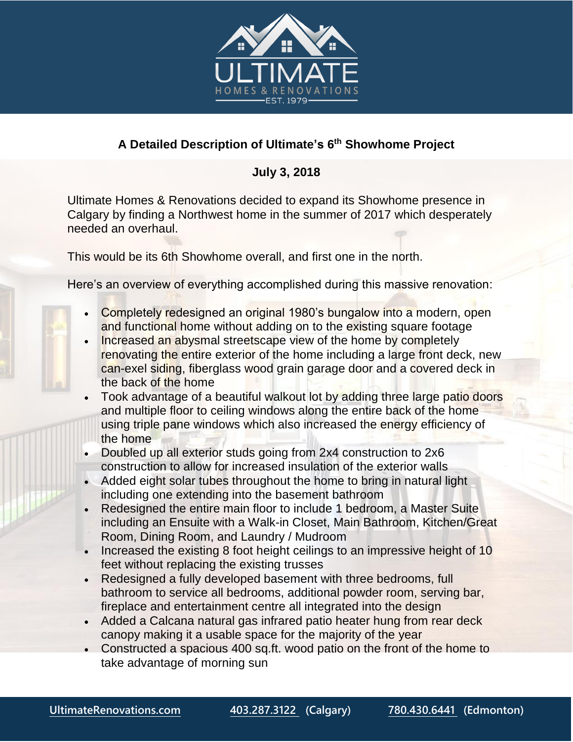

## **A Detailed Description of Ultimate's 6 th Showhome Project**

## **July 3, 2018**

Ultimate Homes & Renovations decided to expand its Showhome presence in Calgary by finding a Northwest home in the summer of 2017 which desperately needed an overhaul.

This would be its 6th Showhome overall, and first one in the north.

Here's an overview of everything accomplished during this massive renovation:

- Completely redesigned an original 1980's bungalow into a modern, open and functional home without adding on to the existing square footage
- Increased an abysmal streetscape view of the home by completely renovating the entire exterior of the home including a large front deck, new can-exel siding, fiberglass wood grain garage door and a covered deck in the back of the home
- Took advantage of a beautiful walkout lot by adding three large patio doors and multiple floor to ceiling windows along the entire back of the home using triple pane windows which also increased the energy efficiency of the home
- Doubled up all exterior studs going from 2x4 construction to 2x6 construction to allow for increased insulation of the exterior walls
- Added eight solar tubes throughout the home to bring in natural light including one extending into the basement bathroom
- Redesigned the entire main floor to include 1 bedroom, a Master Suite including an Ensuite with a Walk-in Closet, Main Bathroom, Kitchen/Great Room, Dining Room, and Laundry / Mudroom
- Increased the existing 8 foot height ceilings to an impressive height of 10 feet without replacing the existing trusses
- Redesigned a fully developed basement with three bedrooms, full bathroom to service all bedrooms, additional powder room, serving bar, fireplace and entertainment centre all integrated into the design
- Added a Calcana natural gas infrared patio heater hung from rear deck canopy making it a usable space for the majority of the year
- Constructed a spacious 400 sq.ft. wood patio on the front of the home to take advantage of morning sun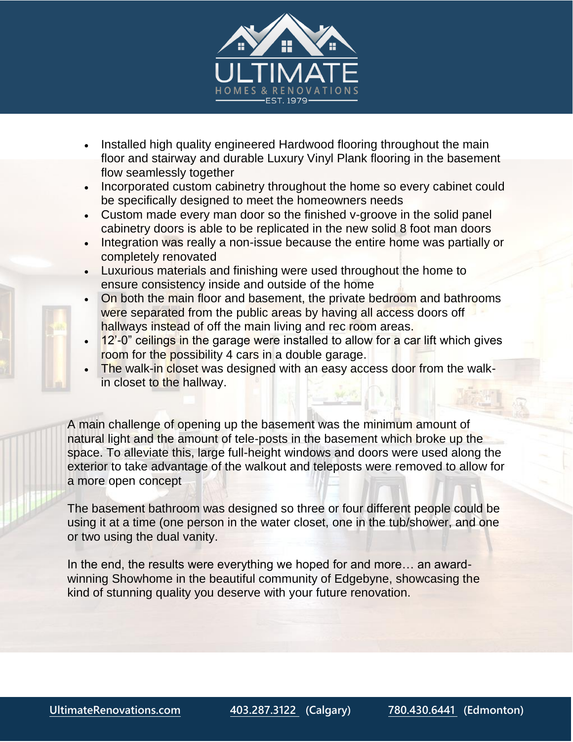

- Installed high quality engineered Hardwood flooring throughout the main floor and stairway and durable Luxury Vinyl Plank flooring in the basement flow seamlessly together
- Incorporated custom cabinetry throughout the home so every cabinet could be specifically designed to meet the homeowners needs
- Custom made every man door so the finished v-groove in the solid panel cabinetry doors is able to be replicated in the new solid 8 foot man doors
- Integration was really a non-issue because the entire home was partially or completely renovated
- Luxurious materials and finishing were used throughout the home to ensure consistency inside and outside of the home
- On both the main floor and basement, the private bedroom and bathrooms were separated from the public areas by having all access doors off hallways instead of off the main living and rec room areas.
- 12'-0" ceilings in the garage were installed to allow for a car lift which gives room for the possibility 4 cars in a double garage.
- The walk-in closet was designed with an easy access door from the walkin closet to the hallway.

A main challenge of opening up the basement was the minimum amount of natural light and the amount of tele-posts in the basement which broke up the space. To alleviate this, large full-height windows and doors were used along the exterior to take advantage of the walkout and teleposts were removed to allow for a more open concept

The basement bathroom was designed so three or four different people could be using it at a time (one person in the water closet, one in the tub/shower, and one or two using the dual vanity.

In the end, the results were everything we hoped for and more… an awardwinning Showhome in the beautiful community of Edgebyne, showcasing the kind of stunning quality you deserve with your future renovation.